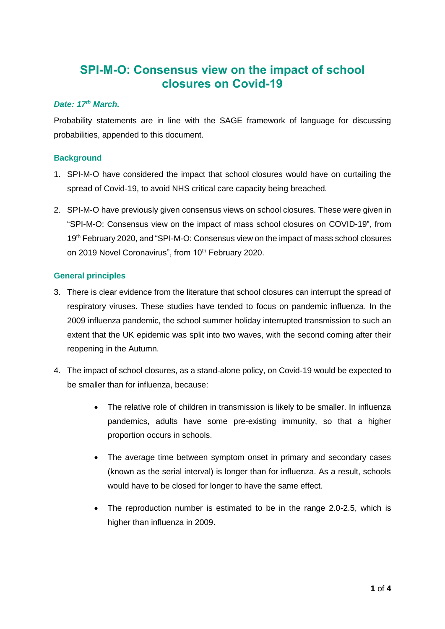# **SPI-M-O: Consensus view on the impact of school closures on Covid-19**

### *Date: 17th March.*

Probability statements are in line with the SAGE framework of language for discussing probabilities, appended to this document.

## **Background**

- 1. SPI-M-O have considered the impact that school closures would have on curtailing the spread of Covid-19, to avoid NHS critical care capacity being breached.
- 2. SPI-M-O have previously given consensus views on school closures. These were given in "SPI-M-O: Consensus view on the impact of mass school closures on COVID-19", from 19<sup>th</sup> February 2020, and "SPI-M-O: Consensus view on the impact of mass school closures on 2019 Novel Coronavirus", from 10<sup>th</sup> February 2020.

## **General principles**

- 3. There is clear evidence from the literature that school closures can interrupt the spread of respiratory viruses. These studies have tended to focus on pandemic influenza. In the 2009 influenza pandemic, the school summer holiday interrupted transmission to such an extent that the UK epidemic was split into two waves, with the second coming after their reopening in the Autumn.
- 4. The impact of school closures, as a stand-alone policy, on Covid-19 would be expected to be smaller than for influenza, because:
	- The relative role of children in transmission is likely to be smaller. In influenza pandemics, adults have some pre-existing immunity, so that a higher proportion occurs in schools.
	- The average time between symptom onset in primary and secondary cases (known as the serial interval) is longer than for influenza. As a result, schools would have to be closed for longer to have the same effect.
	- The reproduction number is estimated to be in the range 2.0-2.5, which is higher than influenza in 2009.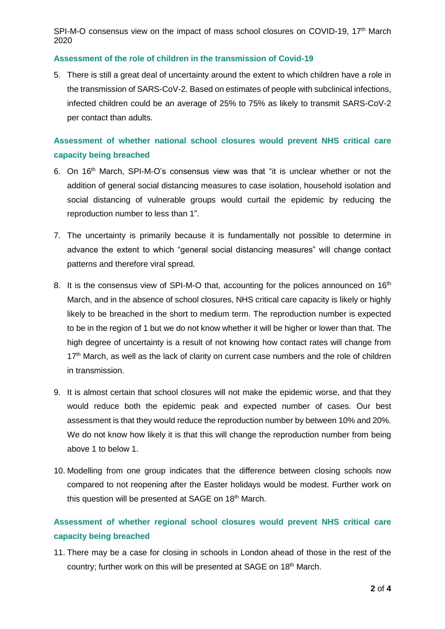SPI-M-O consensus view on the impact of mass school closures on COVID-19, 17<sup>th</sup> March 2020

#### **Assessment of the role of children in the transmission of Covid-19**

5. There is still a great deal of uncertainty around the extent to which children have a role in the transmission of SARS-CoV-2. Based on estimates of people with subclinical infections, infected children could be an average of 25% to 75% as likely to transmit SARS-CoV-2 per contact than adults.

# **Assessment of whether national school closures would prevent NHS critical care capacity being breached**

- 6. On 16th March, SPI-M-O's consensus view was that "it is unclear whether or not the addition of general social distancing measures to case isolation, household isolation and social distancing of vulnerable groups would curtail the epidemic by reducing the reproduction number to less than 1".
- 7. The uncertainty is primarily because it is fundamentally not possible to determine in advance the extent to which "general social distancing measures" will change contact patterns and therefore viral spread.
- 8. It is the consensus view of SPI-M-O that, accounting for the polices announced on 16<sup>th</sup> March, and in the absence of school closures, NHS critical care capacity is likely or highly likely to be breached in the short to medium term. The reproduction number is expected to be in the region of 1 but we do not know whether it will be higher or lower than that. The high degree of uncertainty is a result of not knowing how contact rates will change from 17<sup>th</sup> March, as well as the lack of clarity on current case numbers and the role of children in transmission.
- 9. It is almost certain that school closures will not make the epidemic worse, and that they would reduce both the epidemic peak and expected number of cases. Our best assessment is that they would reduce the reproduction number by between 10% and 20%. We do not know how likely it is that this will change the reproduction number from being above 1 to below 1.
- 10. Modelling from one group indicates that the difference between closing schools now compared to not reopening after the Easter holidays would be modest. Further work on this question will be presented at SAGE on 18<sup>th</sup> March.

# **Assessment of whether regional school closures would prevent NHS critical care capacity being breached**

11. There may be a case for closing in schools in London ahead of those in the rest of the country; further work on this will be presented at SAGE on 18<sup>th</sup> March.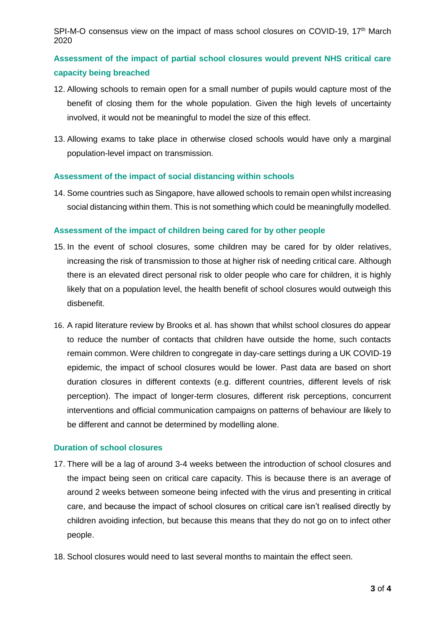SPI-M-O consensus view on the impact of mass school closures on COVID-19, 17<sup>th</sup> March 2020

# **Assessment of the impact of partial school closures would prevent NHS critical care capacity being breached**

- 12. Allowing schools to remain open for a small number of pupils would capture most of the benefit of closing them for the whole population. Given the high levels of uncertainty involved, it would not be meaningful to model the size of this effect.
- 13. Allowing exams to take place in otherwise closed schools would have only a marginal population-level impact on transmission.

### **Assessment of the impact of social distancing within schools**

14. Some countries such as Singapore, have allowed schools to remain open whilst increasing social distancing within them. This is not something which could be meaningfully modelled.

### **Assessment of the impact of children being cared for by other people**

- 15. In the event of school closures, some children may be cared for by older relatives, increasing the risk of transmission to those at higher risk of needing critical care. Although there is an elevated direct personal risk to older people who care for children, it is highly likely that on a population level, the health benefit of school closures would outweigh this disbenefit.
- 16. A rapid literature review by Brooks et al. has shown that whilst school closures do appear to reduce the number of contacts that children have outside the home, such contacts remain common. Were children to congregate in day-care settings during a UK COVID-19 epidemic, the impact of school closures would be lower. Past data are based on short duration closures in different contexts (e.g. different countries, different levels of risk perception). The impact of longer-term closures, different risk perceptions, concurrent interventions and official communication campaigns on patterns of behaviour are likely to be different and cannot be determined by modelling alone.

### **Duration of school closures**

- 17. There will be a lag of around 3-4 weeks between the introduction of school closures and the impact being seen on critical care capacity. This is because there is an average of around 2 weeks between someone being infected with the virus and presenting in critical care, and because the impact of school closures on critical care isn't realised directly by children avoiding infection, but because this means that they do not go on to infect other people.
- 18. School closures would need to last several months to maintain the effect seen.